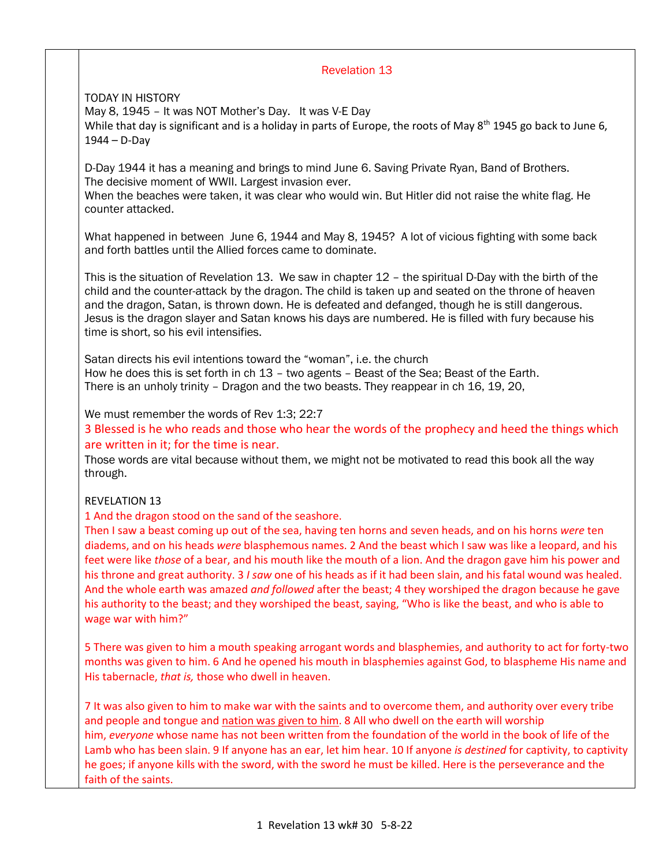## Revelation 13

TODAY IN HISTORY May 8, 1945 – It was NOT Mother's Day. It was V-E Day While that day is significant and is a holiday in parts of Europe, the roots of May 8<sup>th</sup> 1945 go back to June 6, 1944 – D-Day

D-Day 1944 it has a meaning and brings to mind June 6. Saving Private Ryan, Band of Brothers. The decisive moment of WWII. Largest invasion ever.

When the beaches were taken, it was clear who would win. But Hitler did not raise the white flag. He counter attacked.

What happened in between June 6, 1944 and May 8, 1945? A lot of vicious fighting with some back and forth battles until the Allied forces came to dominate.

This is the situation of Revelation 13. We saw in chapter 12 – the spiritual D-Day with the birth of the child and the counter-attack by the dragon. The child is taken up and seated on the throne of heaven and the dragon, Satan, is thrown down. He is defeated and defanged, though he is still dangerous. Jesus is the dragon slayer and Satan knows his days are numbered. He is filled with fury because his time is short, so his evil intensifies.

Satan directs his evil intentions toward the "woman", i.e. the church How he does this is set forth in ch 13 – two agents – Beast of the Sea; Beast of the Earth. There is an unholy trinity – Dragon and the two beasts. They reappear in ch 16, 19, 20,

We must remember the words of Rev 1:3; 22:7

3 Blessed is he who reads and those who hear the words of the prophecy and heed the things which are written in it; for the time is near.

Those words are vital because without them, we might not be motivated to read this book all the way through.

#### REVELATION 13

1 And the dragon stood on the sand of the seashore.

Then I saw a beast coming up out of the sea, having ten horns and seven heads, and on his horns *were* ten diadems, and on his heads *were* blasphemous names. 2 And the beast which I saw was like a leopard, and his feet were like *those* of a bear, and his mouth like the mouth of a lion. And the dragon gave him his power and his throne and great authority. 3 *I saw* one of his heads as if it had been slain, and his fatal wound was healed. And the whole earth was amazed *and followed* after the beast; 4 they worshiped the dragon because he gave his authority to the beast; and they worshiped the beast, saying, "Who is like the beast, and who is able to wage war with him?"

5 There was given to him a mouth speaking arrogant words and blasphemies, and authority to act for forty-two months was given to him. 6 And he opened his mouth in blasphemies against God, to blaspheme His name and His tabernacle, *that is,* those who dwell in heaven.

7 It was also given to him to make war with the saints and to overcome them, and authority over every tribe and people and tongue and nation was given to him. 8 All who dwell on the earth will worship him, *everyone* whose name has not been written from the foundation of the world in the book of life of the Lamb who has been slain. 9 If anyone has an ear, let him hear. 10 If anyone *is destined* for captivity, to captivity he goes; if anyone kills with the sword, with the sword he must be killed. Here is the perseverance and the faith of the saints.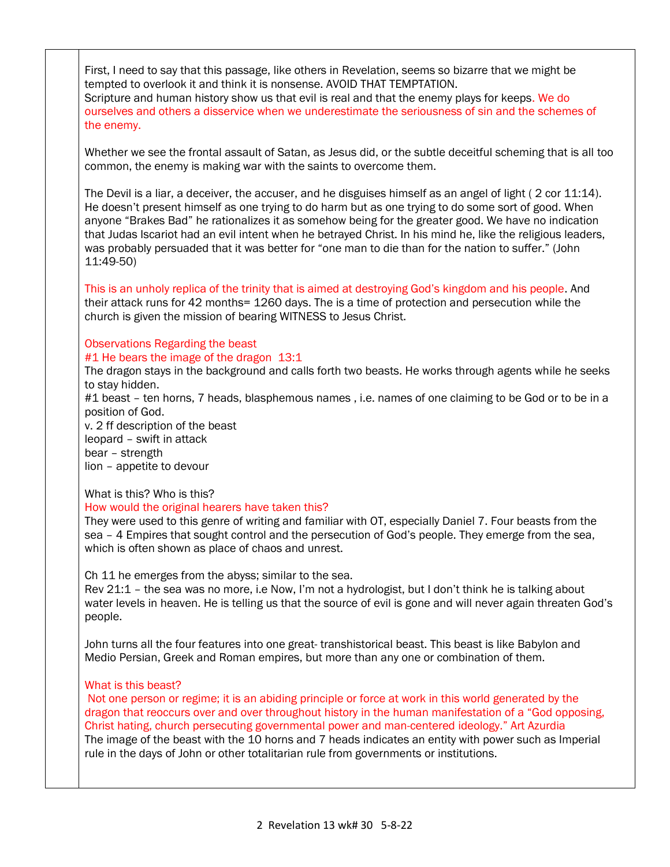First, I need to say that this passage, like others in Revelation, seems so bizarre that we might be tempted to overlook it and think it is nonsense. AVOID THAT TEMPTATION.

Scripture and human history show us that evil is real and that the enemy plays for keeps. We do ourselves and others a disservice when we underestimate the seriousness of sin and the schemes of the enemy.

Whether we see the frontal assault of Satan, as Jesus did, or the subtle deceitful scheming that is all too common, the enemy is making war with the saints to overcome them.

The Devil is a liar, a deceiver, the accuser, and he disguises himself as an angel of light (2 cor 11:14). He doesn't present himself as one trying to do harm but as one trying to do some sort of good. When anyone "Brakes Bad" he rationalizes it as somehow being for the greater good. We have no indication that Judas Iscariot had an evil intent when he betrayed Christ. In his mind he, like the religious leaders, was probably persuaded that it was better for "one man to die than for the nation to suffer." (John 11:49-50)

This is an unholy replica of the trinity that is aimed at destroying God's kingdom and his people. And their attack runs for 42 months= 1260 days. The is a time of protection and persecution while the church is given the mission of bearing WITNESS to Jesus Christ.

## Observations Regarding the beast

#1 He bears the image of the dragon 13:1

The dragon stays in the background and calls forth two beasts. He works through agents while he seeks to stay hidden.

#1 beast – ten horns, 7 heads, blasphemous names , i.e. names of one claiming to be God or to be in a position of God.

v. 2 ff description of the beast leopard – swift in attack bear – strength lion – appetite to devour

# What is this? Who is this?

#### How would the original hearers have taken this?

They were used to this genre of writing and familiar with OT, especially Daniel 7. Four beasts from the sea – 4 Empires that sought control and the persecution of God's people. They emerge from the sea, which is often shown as place of chaos and unrest.

Ch 11 he emerges from the abyss; similar to the sea.

Rev 21:1 – the sea was no more, i.e Now, I'm not a hydrologist, but I don't think he is talking about water levels in heaven. He is telling us that the source of evil is gone and will never again threaten God's people.

John turns all the four features into one great- transhistorical beast. This beast is like Babylon and Medio Persian, Greek and Roman empires, but more than any one or combination of them.

#### What is this beast?

Not one person or regime; it is an abiding principle or force at work in this world generated by the dragon that reoccurs over and over throughout history in the human manifestation of a "God opposing, Christ hating, church persecuting governmental power and man-centered ideology." Art Azurdia The image of the beast with the 10 horns and 7 heads indicates an entity with power such as Imperial rule in the days of John or other totalitarian rule from governments or institutions.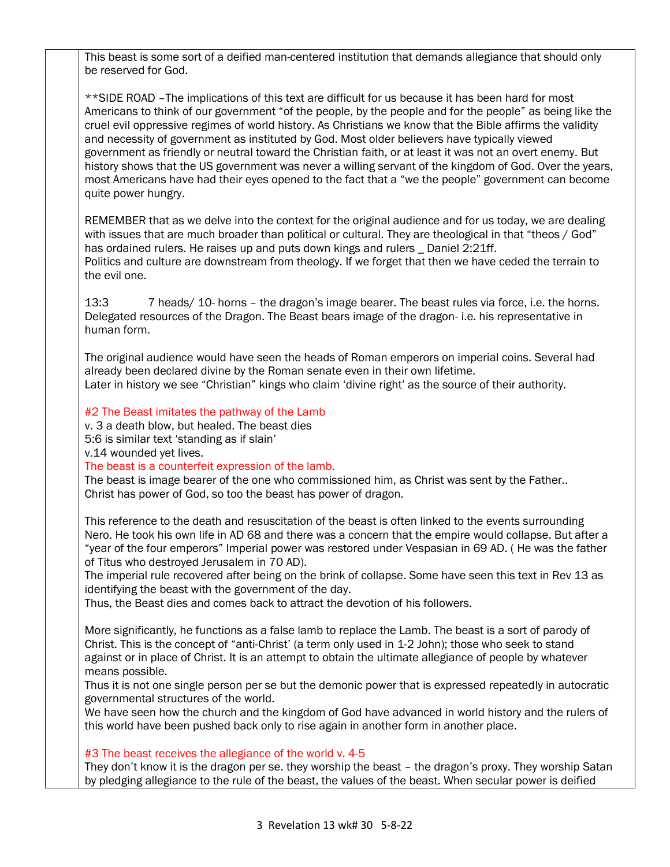This beast is some sort of a deified man-centered institution that demands allegiance that should only be reserved for God.

\*\*SIDE ROAD –The implications of this text are difficult for us because it has been hard for most Americans to think of our government "of the people, by the people and for the people" as being like the cruel evil oppressive regimes of world history. As Christians we know that the Bible affirms the validity and necessity of government as instituted by God. Most older believers have typically viewed government as friendly or neutral toward the Christian faith, or at least it was not an overt enemy. But history shows that the US government was never a willing servant of the kingdom of God. Over the years, most Americans have had their eyes opened to the fact that a "we the people" government can become quite power hungry.

REMEMBER that as we delve into the context for the original audience and for us today, we are dealing with issues that are much broader than political or cultural. They are theological in that "theos / God" has ordained rulers. He raises up and puts down kings and rulers \_ Daniel 2:21ff. Politics and culture are downstream from theology. If we forget that then we have ceded the terrain to the evil one.

13:3 7 heads/ 10- horns – the dragon's image bearer. The beast rules via force, i.e. the horns. Delegated resources of the Dragon. The Beast bears image of the dragon- i.e. his representative in human form.

The original audience would have seen the heads of Roman emperors on imperial coins. Several had already been declared divine by the Roman senate even in their own lifetime. Later in history we see "Christian" kings who claim 'divine right' as the source of their authority.

#2 The Beast imitates the pathway of the Lamb

v. 3 a death blow, but healed. The beast dies 5:6 is similar text 'standing as if slain' v.14 wounded yet lives.

The beast is a counterfeit expression of the lamb.

The beast is image bearer of the one who commissioned him, as Christ was sent by the Father.. Christ has power of God, so too the beast has power of dragon.

This reference to the death and resuscitation of the beast is often linked to the events surrounding Nero. He took his own life in AD 68 and there was a concern that the empire would collapse. But after a "year of the four emperors" Imperial power was restored under Vespasian in 69 AD. ( He was the father of Titus who destroyed Jerusalem in 70 AD).

The imperial rule recovered after being on the brink of collapse. Some have seen this text in Rev 13 as identifying the beast with the government of the day.

Thus, the Beast dies and comes back to attract the devotion of his followers.

More significantly, he functions as a false lamb to replace the Lamb. The beast is a sort of parody of Christ. This is the concept of "anti-Christ' (a term only used in 1-2 John); those who seek to stand against or in place of Christ. It is an attempt to obtain the ultimate allegiance of people by whatever means possible.

Thus it is not one single person per se but the demonic power that is expressed repeatedly in autocratic governmental structures of the world.

We have seen how the church and the kingdom of God have advanced in world history and the rulers of this world have been pushed back only to rise again in another form in another place.

#3 The beast receives the allegiance of the world v. 4-5

They don't know it is the dragon per se. they worship the beast – the dragon's proxy. They worship Satan by pledging allegiance to the rule of the beast, the values of the beast. When secular power is deified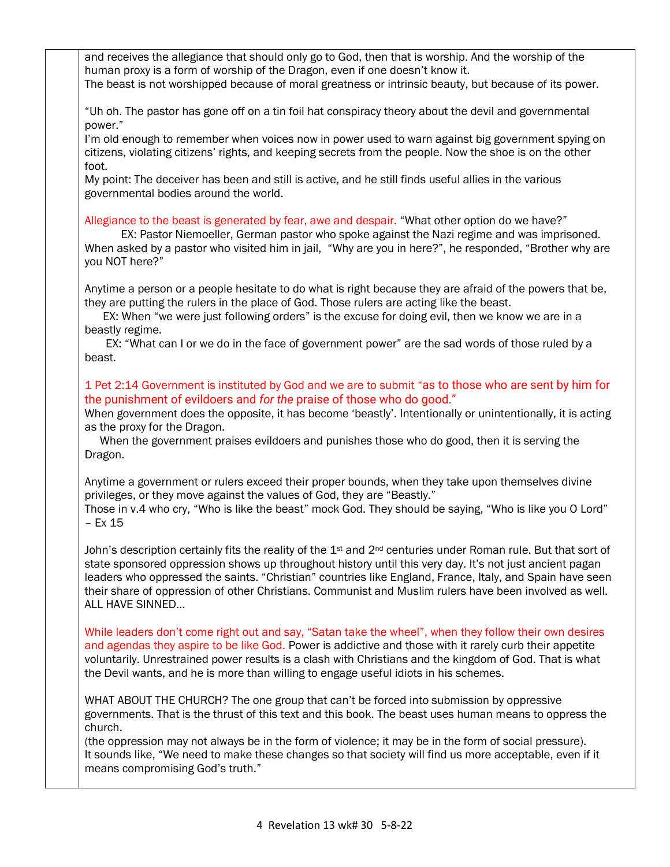and receives the allegiance that should only go to God, then that is worship. And the worship of the human proxy is a form of worship of the Dragon, even if one doesn't know it. The beast is not worshipped because of moral greatness or intrinsic beauty, but because of its power.

"Uh oh. The pastor has gone off on a tin foil hat conspiracy theory about the devil and governmental power."

I'm old enough to remember when voices now in power used to warn against big government spying on citizens, violating citizens' rights, and keeping secrets from the people. Now the shoe is on the other foot.

My point: The deceiver has been and still is active, and he still finds useful allies in the various governmental bodies around the world.

Allegiance to the beast is generated by fear, awe and despair. "What other option do we have?"

 EX: Pastor Niemoeller, German pastor who spoke against the Nazi regime and was imprisoned. When asked by a pastor who visited him in jail, "Why are you in here?", he responded, "Brother why are you NOT here?"

Anytime a person or a people hesitate to do what is right because they are afraid of the powers that be, they are putting the rulers in the place of God. Those rulers are acting like the beast.

 EX: When "we were just following orders" is the excuse for doing evil, then we know we are in a beastly regime.

 EX: "What can I or we do in the face of government power" are the sad words of those ruled by a beast.

# 1 Pet 2:14 Government is instituted by God and we are to submit "as to those who are sent by him for the punishment of evildoers and *for the* praise of those who do good."

When government does the opposite, it has become 'beastly'. Intentionally or unintentionally, it is acting as the proxy for the Dragon.

 When the government praises evildoers and punishes those who do good, then it is serving the Dragon.

Anytime a government or rulers exceed their proper bounds, when they take upon themselves divine privileges, or they move against the values of God, they are "Beastly."

Those in v.4 who cry, "Who is like the beast" mock God. They should be saying, "Who is like you O Lord" – Ex 15

John's description certainly fits the reality of the  $1<sup>st</sup>$  and  $2<sup>nd</sup>$  centuries under Roman rule. But that sort of state sponsored oppression shows up throughout history until this very day. It's not just ancient pagan leaders who oppressed the saints. "Christian" countries like England, France, Italy, and Spain have seen their share of oppression of other Christians. Communist and Muslim rulers have been involved as well. ALL HAVE SINNED…

While leaders don't come right out and say, "Satan take the wheel", when they follow their own desires and agendas they aspire to be like God. Power is addictive and those with it rarely curb their appetite voluntarily. Unrestrained power results is a clash with Christians and the kingdom of God. That is what the Devil wants, and he is more than willing to engage useful idiots in his schemes.

WHAT ABOUT THE CHURCH? The one group that can't be forced into submission by oppressive governments. That is the thrust of this text and this book. The beast uses human means to oppress the church.

(the oppression may not always be in the form of violence; it may be in the form of social pressure). It sounds like, "We need to make these changes so that society will find us more acceptable, even if it means compromising God's truth."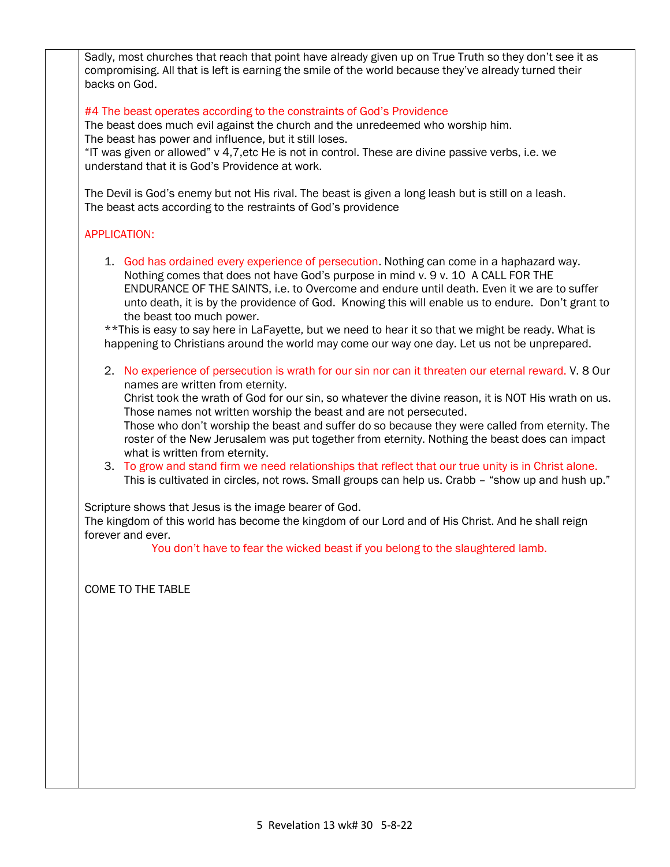Sadly, most churches that reach that point have already given up on True Truth so they don't see it as compromising. All that is left is earning the smile of the world because they've already turned their backs on God.

#### #4 The beast operates according to the constraints of God's Providence

The beast does much evil against the church and the unredeemed who worship him. The beast has power and influence, but it still loses.

"IT was given or allowed" v 4,7,etc He is not in control. These are divine passive verbs, i.e. we understand that it is God's Providence at work.

The Devil is God's enemy but not His rival. The beast is given a long leash but is still on a leash. The beast acts according to the restraints of God's providence

#### APPLICATION:

1. God has ordained every experience of persecution. Nothing can come in a haphazard way. Nothing comes that does not have God's purpose in mind v. 9 v. 10 A CALL FOR THE ENDURANCE OF THE SAINTS, i.e. to Overcome and endure until death. Even it we are to suffer unto death, it is by the providence of God. Knowing this will enable us to endure. Don't grant to the beast too much power.

\*\*This is easy to say here in LaFayette, but we need to hear it so that we might be ready. What is happening to Christians around the world may come our way one day. Let us not be unprepared.

2. No experience of persecution is wrath for our sin nor can it threaten our eternal reward. V. 8 Our names are written from eternity.

Christ took the wrath of God for our sin, so whatever the divine reason, it is NOT His wrath on us. Those names not written worship the beast and are not persecuted.

Those who don't worship the beast and suffer do so because they were called from eternity. The roster of the New Jerusalem was put together from eternity. Nothing the beast does can impact what is written from eternity.

3. To grow and stand firm we need relationships that reflect that our true unity is in Christ alone. This is cultivated in circles, not rows. Small groups can help us. Crabb – "show up and hush up."

Scripture shows that Jesus is the image bearer of God.

The kingdom of this world has become the kingdom of our Lord and of His Christ. And he shall reign forever and ever.

You don't have to fear the wicked beast if you belong to the slaughtered lamb.

COME TO THE TABLE